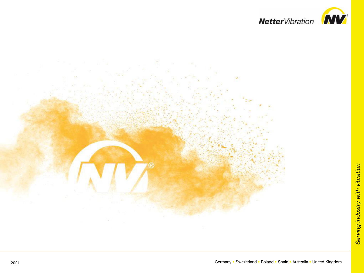

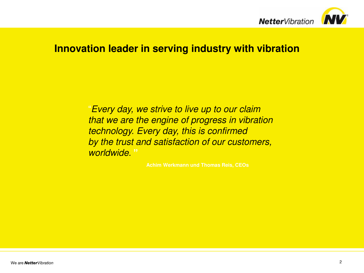

### **Innovation leader in serving industry with vibration**

*Every day, we strive to live up to our claim that we are the engine of progress in vibration technology. Every day, this is confirmed by the trust and satisfaction of our customers, worldwide.* **"**

**Achim Werkmann und Thomas Reis, CEOs**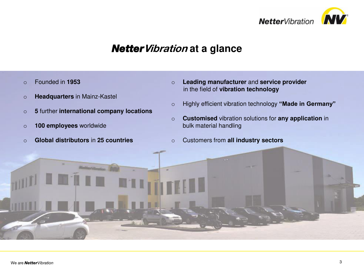

## *Netter***Vibration at a glance**

- o Founded in **1953**
- o **Headquarters** in Mainz-Kastel
- o **5** further **international company locations**
- o **100 employees** worldwide
- o **Global distributors** in **25 countries**
- o **Leading manufacturer** and **service provider** in the field of **vibration technology**
- o Highly efficient vibration technology **"Made in Germany"**
- o **Customised** vibration solutions for **any application** in bulk material handling
- o Customers from **all industry sectors**

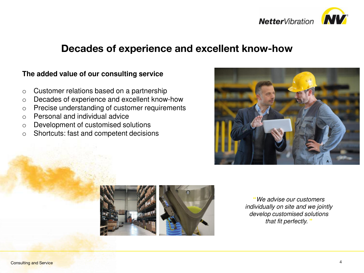

### **Decades of experience and excellent know-how**

### **The added value of our consulting service**

- o Customer relations based on a partnership
- o Decades of experience and excellent know-how
- o Precise understanding of customer requirements
- o Personal and individual advice
- o Development of customised solutions
- o Shortcuts: fast and competent decisions





**"***We advise our customers individually on site and we jointly develop customised solutions that fit perfectly.* **"**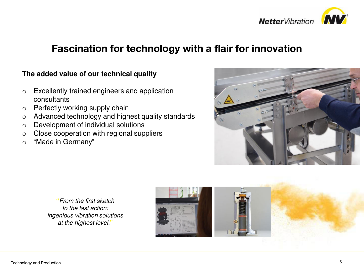

## **Fascination for technology with a flair for innovation**

### **The added value of our technical quality**

- o Excellently trained engineers and application consultants
- o Perfectly working supply chain
- o Advanced technology and highest quality standards
- o Development of individual solutions
- o Close cooperation with regional suppliers
- o "Made in Germany"



**"***From the first sketch to the last action: ingenious vibration solutions at the highest level.***"**

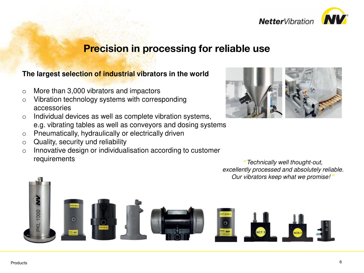

### **Precision in processing for reliable use**

### **The largest selection of industrial vibrators in the world**

- o More than 3,000 vibrators and impactors
- o Vibration technology systems with corresponding accessories
- o Individual devices as well as complete vibration systems, e.g. vibrating tables as well as conveyors and dosing systems
- o Pneumatically, hydraulically or electrically driven
- $\circ$  Quality, security und reliability
- o Innovative design or individualisation according to customer requirements **"***Technically well thought-out,*



*excellently processed and absolutely reliable. Our vibrators keep what we promise!* **"**

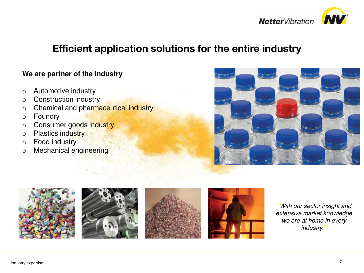

### **Efficient application solutions for the entire industry**

### **We are partner of the industry**

- o Automotive industry
- o Construction industry
- o Chemical and pharmaceutical industry
- o Foundry
- o Consumer goods industry
- o Plastics industry
- o Food industry
- o Mechanical engineering





**"***With our sector insight and extensive market knowledge we are at home in every industry.***"**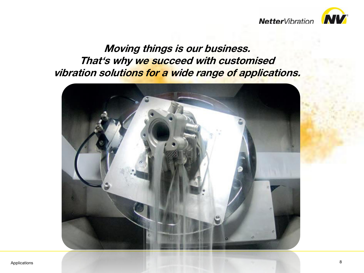**Netter**Vibration **NV** 



**Moving things is our business. That's why we succeed with customised vibration solutions for a wide range of applications.**

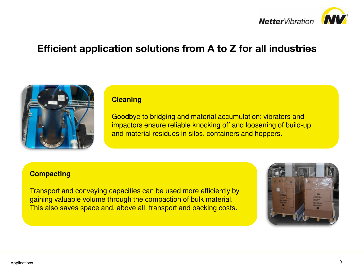



#### **Cleaning**

Goodbye to bridging and material accumulation: vibrators and impactors ensure reliable knocking off and loosening of build-up and material residues in silos, containers and hoppers.

#### **Compacting**

Transport and conveying capacities can be used more efficiently by gaining valuable volume through the compaction of bulk material. This also saves space and, above all, transport and packing costs.

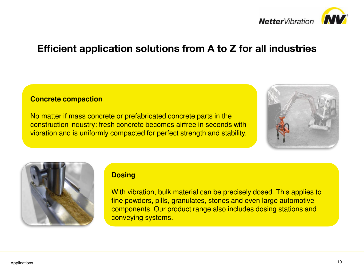

#### **Concrete compaction**

No matter if mass concrete or prefabricated concrete parts in the construction industry: fresh concrete becomes airfree in seconds with vibration and is uniformly compacted for perfect strength and stability.





#### **Dosing**

With vibration, bulk material can be precisely dosed. This applies to fine powders, pills, granulates, stones and even large automotive components. Our product range also includes dosing stations and conveying systems.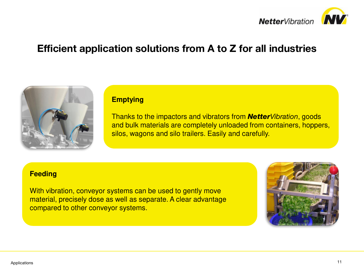



#### **Emptying**

Thanks to the impactors and vibrators from *NetterVibration*, goods and bulk materials are completely unloaded from containers, hoppers, silos, wagons and silo trailers. Easily and carefully.

#### **Feeding**

With vibration, conveyor systems can be used to gently move material, precisely dose as well as separate. A clear advantage compared to other conveyor systems.

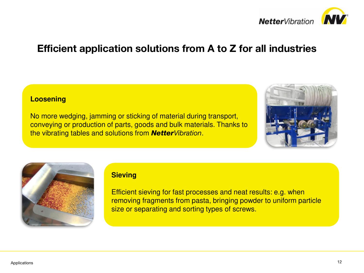

#### **Loosening**

No more wedging, jamming or sticking of material during transport, conveying or production of parts, goods and bulk materials. Thanks to the vibrating tables and solutions from *NetterVibration*.





### **Sieving**

Efficient sieving for fast processes and neat results: e.g. when removing fragments from pasta, bringing powder to uniform particle size or separating and sorting types of screws.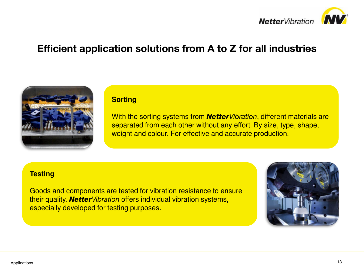



#### **Sorting**

With the sorting systems from *NetterVibration*, different materials are separated from each other without any effort. By size, type, shape, weight and colour. For effective and accurate production.

#### **Testing**

Goods and components are tested for vibration resistance to ensure their quality. *NetterVibration* offers individual vibration systems, especially developed for testing purposes.

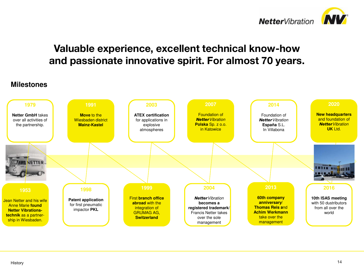

# **Valuable experience, excellent technical know-how and passionate innovative spirit. For almost 70 years.**

### **Milestones**